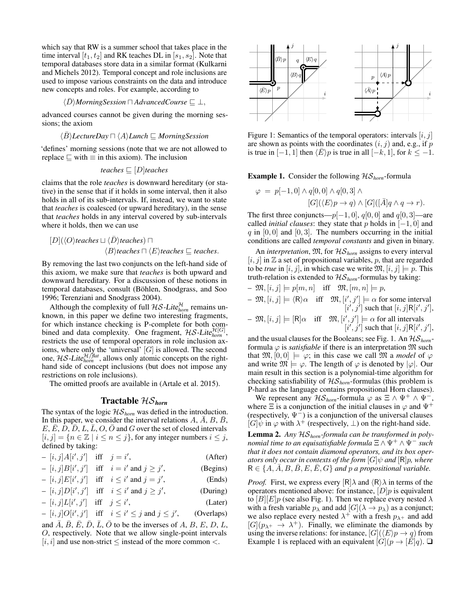which say that RW is a summer school that takes place in the time interval  $[t_1, t_2]$  and RK teaches DL in  $[s_1, s_2]$ . Note that temporal databases store data in a similar format (Kulkarni and Michels 2012). Temporal concept and role inclusions are used to impose various constraints on the data and introduce new concepts and roles. For example, according to

 $\langle \bar{D} \rangle$ *MorningSession*  $\Box$  *AdvancedCourse* ⊆ ⊥,

advanced courses cannot be given during the morning sessions; the axiom

$$
\langle \bar{B} \rangle
$$
LetureDay  $\sqcap \langle A \rangle$  Lunch  $\sqsubseteq$  *Morningsf*lession

'defines' morning sessions (note that we are not allowed to replace  $\Box$  with  $\equiv$  in this axiom). The inclusion

$$
teaches \sqsubseteq [D]teaches
$$

claims that the role *teaches* is downward hereditary (or stative) in the sense that if it holds in some interval, then it also holds in all of its sub-intervals. If, instead, we want to state that *teaches* is coalesced (or upward hereditary), in the sense that *teaches* holds in any interval covered by sub-intervals where it holds, then we can use

$$
[D](\langle O \rangle teaches \sqcup \langle \overline{D} \rangle teaches) \sqcap
$$
  

$$
\langle B \rangle teaches \sqcap \langle E \rangle teaches \sqsubseteq teaches.
$$

By removing the last two conjuncts on the left-hand side of this axiom, we make sure that *teaches* is both upward and downward hereditary. For a discussion of these notions in temporal databases, consult (Böhlen, Snodgrass, and Soo 1996; Terenziani and Snodgrass 2004).

Although the complexity of full  $H\mathcal{S}\text{-}Like_{horn}^{\mathcal{H}}$  remains unknown, in this paper we define two interesting fragments, for which instance checking is P-complete for both combined and data complexity. One fragment,  $H\mathcal{S}\text{-}Lite_{hom}^{\mathcal{H}[G]}$ , restricts the use of temporal operators in role inclusion axioms, where only the 'universal'  $[G]$  is allowed. The second one,  $\mathcal{H} \mathcal{S}\text{-}Lite_{horn}^{\mathcal{H}/\mathit{flat}}$ , allows only atomic concepts on the righthand side of concept inclusions (but does not impose any restrictions on role inclusions).

The omitted proofs are available in (Artale et al. 2015).

## Tractable HS*horn*

The syntax of the logic  $HS_{horn}$  was defied in the introduction. In this paper, we consider the interval relations  $A, \overline{A}, B, \overline{B}$ ,  $E, \overline{E}, D, \overline{D}, L, \overline{L}, O, \overline{O}$  and G over the set of closed intervals  $[i, j] = \{n \in \mathbb{Z} \mid i \leq n \leq j\}$ , for any integer numbers  $i \leq j$ , defined by taking:

$$
-[i,j]A[i',j'] \quad \text{iff} \quad j=i', \tag{After}
$$

$$
-[i,j]B[i',j'] \quad \text{iff} \quad i = i' \text{ and } j \ge j', \tag{Begins}
$$

$$
-[i,j]E[i',j'] \quad \text{iff} \quad i \leq i' \text{ and } j = j', \tag{Ends}
$$

$$
-[i,j]D[i',j'] \quad \text{iff} \quad i \leq i' \text{ and } j \geq j', \tag{During}
$$

$$
-[i,j]L[i',j'] \quad \text{iff} \quad j \leq i', \tag{Later}
$$

$$
-[i,j]O[i',j'] \quad \text{iff} \quad i \le i' \le j \text{ and } j \le j', \qquad \text{(Overlaps)}
$$

and  $\overline{A}$ ,  $\overline{B}$ ,  $\overline{E}$ ,  $\overline{D}$ ,  $\overline{L}$ ,  $\overline{O}$  to be the inverses of  $A$ ,  $B$ ,  $\overline{E}$ ,  $\overline{D}$ ,  $\overline{L}$ , O, respectively. Note that we allow single-point intervals  $[i, i]$  and use non-strict  $\leq$  instead of the more common  $\lt$ .



Figure 1: Semantics of the temporal operators: intervals  $[i, j]$ are shown as points with the coordinates  $(i, j)$  and, e.g., if p is true in  $[-1, 1]$  then  $\langle \overline{E} \rangle p$  is true in all  $[-k, 1]$ , for  $k \le -1$ .

#### **Example 1.** Consider the following  $\mathcal{HS}_{\text{horn}}$ -formula

$$
\varphi = p[-1,0] \wedge q[0,0] \wedge q[0,3] \wedge
$$
  

$$
[G](\langle E \rangle p \to q) \wedge [G] ([\overline{A}] q \wedge q \to r).
$$

The first three conjuncts— $p[-1, 0]$ ,  $q[0, 0]$  and  $q[0, 3]$ —are called *initial clauses*: they state that p holds in  $[-1, 0]$  and  $q$  in [0, 0] and [0, 3]. The numbers occurring in the initial conditions are called *temporal constants* and given in binary.

An *interpretation*,  $\mathfrak{M}$ , for  $\mathcal{HS}_{\text{horn}}$  assigns to every interval  $[i, j]$  in  $\mathbb Z$  a set of propositional variables, p, that are regarded to be *true* in  $[i, j]$ , in which case we write  $\mathfrak{M}, [i, j] \models p$ . This truth-relation is extended to HS*horn*-formulas by taking:

$$
- \mathfrak{M}, [i, j] \models p[m, n] \quad \text{iff} \quad \mathfrak{M}, [m, n] \models p,
$$
  
\n
$$
- \mathfrak{M}, [i, j] \models \langle \mathsf{R} \rangle \alpha \quad \text{iff} \quad \mathfrak{M}, [i', j'] \models \alpha \text{ for some interval} \quad [i', j'] \text{ such that } [i, j] \mathsf{R}[i', j'],
$$
  
\n
$$
- \mathfrak{M}, [i, j] \models [\mathsf{R}] \alpha \quad \text{iff} \quad \mathfrak{M}, [i', j'] \models \alpha \text{ for all intervals} \quad [i', j'] \text{ such that } [i, j] \mathsf{R}[i', j'],
$$

and the usual clauses for the Booleans; see Fig. 1. An HS*horn*formula  $\varphi$  is *satisfiable* if there is an interpretation  $\mathfrak{M}$  such that  $\mathfrak{M}, [0, 0] \models \varphi$ ; in this case we call  $\mathfrak{M}$  a *model* of  $\varphi$ and write  $\mathfrak{M} \models \varphi$ . The length of  $\varphi$  is denoted by  $|\varphi|$ . Our main result in this section is a polynomial-time algorithm for checking satisfiability of HS*horn*-formulas (this problem is P-hard as the language contains propositional Horn clauses).

We represent any  $\mathcal{H}\mathcal{S}_{\text{hom}}$ -formula  $\varphi$  as  $\Xi \wedge \Psi^+ \wedge \Psi^-$ , where  $\Xi$  is a conjunction of the initial clauses in  $\varphi$  and  $\Psi^+$ (respectively,  $\Psi^-$ ) is a conjunction of the universal clauses  $[G]\overline{\psi}$  in  $\varphi$  with  $\lambda^+$  (respectively,  $\bot$ ) on the right-hand side.

Lemma 2. *Any* HS*horn-formula can be transformed in polynomial time to an equisatisfiable formula*  $\Xi \wedge \Psi^+ \wedge \Psi^-$  *such that it does not contain diamond operators, and its box operators only occur in contexts of the form*  $[G]\psi$  *and*  $[R]p$ *, where*  $R \in \{A, \overline{A}, B, B, E, E, G\}$  *and* p *a propositional variable.* 

*Proof.* First, we express every  $\left[\mathsf{R}\right]\lambda$  and  $\left\langle \mathsf{R}\right\rangle \lambda$  in terms of the operators mentioned above: for instance,  $[D]$ *p* is equivalent to  $[B][E]p$  (see also Fig. 1). Then we replace every nested  $\lambda$ with a fresh variable  $p_{\lambda}$  and add  $[G](\lambda \rightarrow p_{\lambda})$  as a conjunct; we also replace every nested  $\lambda^+$  with a fresh  $p_{\lambda^+}$  and add  $[G](p_{\lambda^+} \to \lambda^+)$ . Finally, we eliminate the diamonds by using the inverse relations: for instance,  $[G](\langle E \rangle p \rightarrow q)$  from Example 1 is replaced with an equivalent  $[G](p \rightarrow [\overline{E}]q)$ .  $\Box$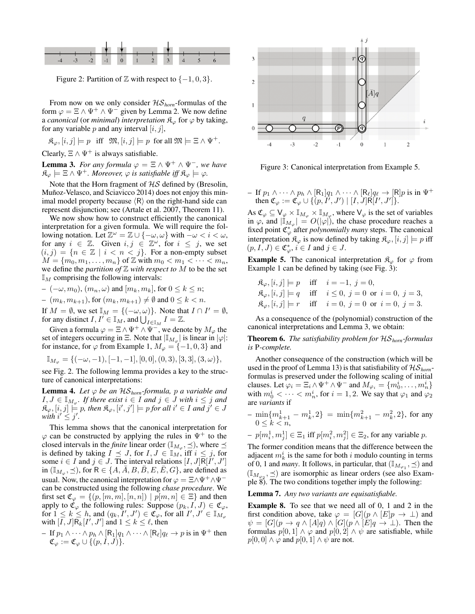

Figure 2: Partition of  $\mathbb Z$  with respect to  $\{-1,0,3\}$ .

From now on we only consider HS*horn*-formulas of the form  $\varphi = \Xi \wedge \Psi^+ \wedge \Psi^-$  given by Lemma 2. We now define a *canonical* (or *minimal*) *interpretation*  $\mathcal{R}_{\varphi}$  for  $\varphi$  by taking, for any variable p and any interval  $[i, j]$ ,

$$
\mathfrak{K}_{\varphi}, [i,j]\models p \quad \text{iff} \quad \mathfrak{M}, [i,j]\models p \quad \text{for all} \ \mathfrak{M}\models \Xi \wedge \Psi^+.
$$

Clearly,  $\Xi \wedge \Psi^+$  is always satisfiable.

**Lemma 3.** *For any formula*  $\varphi = \Xi \wedge \Psi^+ \wedge \Psi^-$ *, we have*  $\mathfrak{K}_{\varphi} \models \Xi \wedge \Psi^+$ *. Moreover,*  $\varphi$  *is satisfiable iff*  $\mathfrak{K}_{\varphi} \models \varphi$ *.* 

Note that the Horn fragment of  $HS$  defined by (Bresolin, Muñoz-Velasco, and Sciavicco 2014) does not enjoy this minimal model property because  $\langle R \rangle$  on the right-hand side can represent disjunction; see (Artale et al. 2007, Theorem 11).

We now show how to construct efficiently the canonical interpretation for a given formula. We will require the following notation. Let  $\mathbb{Z}^{\omega} = \mathbb{Z} \cup \{-\omega, \omega\}$  with  $-\omega < i < \omega$ , for any  $i \in \mathbb{Z}$ . Given  $i, j \in \mathbb{Z}^{\omega}$ , for  $i \leq j$ , we set  $(i, j) = \{n \in \mathbb{Z} \mid i < n < j\}.$  For a non-empty subset  $M = \{m_0, m_1, \ldots, m_n\}$  of  $\mathbb Z$  with  $m_0 < m_1 < \cdots < m_n$ , we define the *partition of*  $\mathbb Z$  *with respect to*  $M$  to be the set  $\mathbb{I}_M$  comprising the following intervals:

$$
-(-\omega, m_0), (m_n, \omega) \text{ and } [m_k, m_k], \text{ for } 0 \le k \le n;
$$

$$
- (m_k, m_{k+1}), \text{ for } (m_k, m_{k+1}) \neq \emptyset \text{ and } 0 \leq k < n.
$$

If  $M = \emptyset$ , we set  $\mathbb{I}_M = \{(-\omega, \omega)\}\$ . Note that  $I \cap I' = \emptyset$ , for any distinct  $I, I' \in \mathbb{I}_M$ , and  $\bigcup_{I \in \mathbb{I}_M} I = \mathbb{Z}$ .

Given a formula  $\varphi = \Xi \wedge \Psi^+ \wedge \Psi^-$ , we denote by  $M_{\varphi}$  the set of integers occurring in  $\Xi$ . Note that  $|\mathbb{I}_{M_{\varphi}}|$  is linear in  $|\varphi|$ : for instance, for  $\varphi$  from Example 1,  $M_{\varphi} = \{-1, 0, 3\}$  and

$$
\mathbb{I}_{M_{\varphi}} = \{(-\omega,-1),[-1,-1],[0,0],(0,3),[3,3],(3,\omega)\},
$$

see Fig. 2. The following lemma provides a key to the structure of canonical interpretations:

**Lemma 4.** Let  $\varphi$  be an  $\mathcal{H}S_{\text{horn}}$ -formula, p a variable and  $I, J \in \mathbb{I}_{M_{\varphi}}$ . If there exist  $i \in I$  and  $j \in J$  with  $i \leq j$  and  $\mathfrak{K}_{\varphi}, [i,j] \models p$ , then  $\mathfrak{K}_{\varphi}, [i',j'] \models p$  for all  $i' \in I$  and  $j' \in J$ with  $i' \leq j'$ .

This lemma shows that the canonical interpretation for  $\varphi$  can be constructed by applying the rules in  $\Psi^+$  to the closed intervals in the *finite* linear order ( $\mathbb{I}_{M_{\varphi}}, \preceq$ ), where  $\preceq$ is defined by taking  $I \preceq J$ , for  $I, J \in \mathbb{I}_M$ , iff  $i \leq j$ , for some  $i \in I$  and  $j \in J$ . The interval relations  $[I, J]R[I', J']$ in  $(\mathbb{I}_{M_\varphi}, \preceq)$ , for  $\mathsf{R} \in \{A, \bar{A}, B, \bar{B}, E, \bar{E}, G\}$ , are defined as usual. Now, the canonical interpretation for  $\varphi = \Xi \wedge \Psi^{+} \wedge \Psi^{-}$ can be constructed using the following *chase procedure*. We first set  $\mathfrak{C}_{\varphi} = \{ (p, [m, m], [n, n]) \mid p[m, n] \in \Xi \}$  and then apply to  $\mathfrak{C}_{\varphi}$  the following rules: Suppose  $(p_k, I, J) \in \mathfrak{C}_{\varphi}$ , for  $1 \leq k \leq h$ , and  $(q_k, I', J') \in \mathfrak{C}_{\varphi}$ , for all  $I', J' \in \mathbb{I}_{M_{\varphi}}$ with  $[I, J]R_k[I', J']$  and  $1 \leq k \leq \ell$ , then

- If 
$$
p_1 \wedge \cdots \wedge p_h \wedge [\mathsf{R}_1] q_1 \wedge \cdots \wedge [\mathsf{R}_{\ell}] q_{\ell} \rightarrow p
$$
 is in  $\Psi^+$  then  
\n $\mathfrak{C}_{\varphi} := \mathfrak{C}_{\varphi} \cup \{(p, I, J)\}.$ 



Figure 3: Canonical interpretation from Example 5.

– If  $p_1 \wedge \cdots \wedge p_h \wedge [\mathsf{R}_1]q_1 \wedge \cdots \wedge [\mathsf{R}_{\ell}]q_{\ell} \rightarrow [\mathsf{R}]p$  is in  $\Psi^+$ then  $\mathfrak{C}_{\varphi} := \mathfrak{C}_{\varphi} \cup \{ (p, I', J') \mid [I, J] \mathsf{R} [I', J'] \}.$ 

As  $\mathfrak{C}_{\varphi} \subseteq \mathsf{V}_{\varphi} \times \mathbb{I}_{M_{\varphi}} \times \mathbb{I}_{M_{\varphi}}$ , where  $\mathsf{V}_{\varphi}$  is the set of variables in  $\varphi$ , and  $|\mathbb{I}_{M_{\varphi}}| = O(|\varphi|)$ , the chase procedure reaches a fixed point  $\mathfrak{C}_{\varphi}^*$  after *polynomially many* steps. The canonical interpretation  $\mathfrak{K}_{\varphi}$  is now defined by taking  $\mathfrak{K}_{\varphi}, [i, j] \models p$  iff  $(p, I, J) \in \mathfrak{C}_{\varphi}^*, i \in I$  and  $j \in J$ .

**Example 5.** The canonical interpretation  $\mathcal{R}_{\varphi}$  for  $\varphi$  from Example 1 can be defined by taking (see Fig. 3):

 $\mathfrak{K}_{\varphi}, [i,j] \models p \quad \text{iff} \quad i = -1, j = 0,$  $\mathfrak{K}_{\varphi}, [i, j] \models q$  iff  $i \leq 0, j = 0$  or  $i = 0, j = 3$ ,  $\mathfrak{K}_{\varphi}, [i, j] \models r \text{ iff } i = 0, j = 0 \text{ or } i = 0, j = 3.$ 

As a consequence of the (polynomial) construction of the canonical interpretations and Lemma 3, we obtain:

Theorem 6. *The satisfiability problem for* HS*horn-formulas is* P*-complete.*

Another consequence of the construction (which will be used in the proof of Lemma 13) is that satisfiability of  $\mathcal{HS}_{\text{horn}}$ formulas is preserved under the following scaling of initial clauses. Let  $\varphi_i = \Xi_i \wedge \Psi^+ \wedge \Psi^-$  and  $M_{\varphi_i} = \{m_0^i, \dots, m_n^i\}$ with  $m_0^i < \cdots < m_n^i$ , for  $i = 1, 2$ . We say that  $\varphi_1$  and  $\varphi_2$ are *variants* if

$$
-\min\{m_{k+1}^1 - m_k^1, 2\} = \min\{m_{k+1}^2 - m_k^2, 2\},\text{ for any } 0 \le k < n,
$$

- 
$$
p[m_i^1, m_j^1] \in \Xi_1
$$
 iff  $p[m_i^2, m_j^2] \in \Xi_2$ , for any variable p.

The former condition means that the difference between the adjacent  $m_k^i$  is the same for both i modulo counting in terms of 0, 1 and *many*. It follows, in particular, that  $(\mathbb{I}_{M_{\varphi_1}}, \preceq)$  and  $(\mathbb{I}_{M_{\varphi_2}}, \preceq)$  are isomorphic as linear orders (see also Example 8). The two conditions together imply the following:

Lemma 7. *Any two variants are equisatisfiable.*

Example 8. To see that we need all of 0, 1 and 2 in the first condition above, take  $\varphi = [G](p \wedge [E]p \rightarrow \bot)$  and  $\psi = [G](p \rightarrow q \wedge [A]q) \wedge [G](p \wedge [E]q \rightarrow \bot)$ . Then the formulas  $p[0, 1] \wedge \varphi$  and  $p[0, 2] \wedge \psi$  are satisfiable, while  $p[0, 0] \wedge \varphi$  and  $p[0, 1] \wedge \psi$  are not.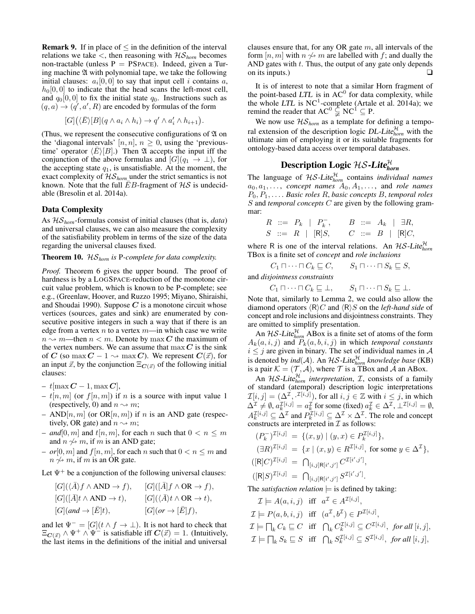**Remark 9.** If in place of  $\leq$  in the definition of the interval relations we take  $\lt$ , then reasoning with  $\mathcal{H}\mathcal{S}_{\text{hom}}$  becomes non-tractable (unless  $P = PSPACE$ ). Indeed, given a Turing machine  $\mathfrak A$  with polynomial tape, we take the following initial clauses:  $a_i[0,0]$  to say that input cell i contains a,  $h<sub>0</sub>[0, 0]$  to indicate that the head scans the left-most cell, and  $q_0[0, 0]$  to fix the initial state  $q_0$ . Instructions such as  $(q, a) \rightarrow (q', a', R)$  are encoded by formulas of the form

$$
[G](\langle \bar{E} \rangle [B](q \wedge a_i \wedge h_i) \to q' \wedge a'_i \wedge h_{i+1}).
$$

(Thus, we represent the consecutive configurations of  $\mathfrak A$  on the 'diagonal intervals'  $[n, n]$ ,  $n \geq 0$ , using the 'previoustime' operator  $\langle E \rangle [B]$ .) Then  $\mathfrak A$  accepts the input iff the conjunction of the above formulas and  $[G](q_1 \rightarrow \bot)$ , for the accepting state  $q_1$ , is unsatisfiable. At the moment, the exact complexity of  $\mathcal{HS}_{\text{hom}}$  under the strict semantics is not known. Note that the full  $\bar{E}B$ -fragment of  $\mathcal{H}\mathcal{S}$  is undecidable (Bresolin et al. 2014a).

#### Data Complexity

As HS*horn*-formulas consist of initial clauses (that is, *data*) and universal clauses, we can also measure the complexity of the satisfiability problem in terms of the size of the data regarding the universal clauses fixed.

## Theorem 10. HS*horn is* P*-complete for data complexity.*

*Proof.* Theorem 6 gives the upper bound. The proof of hardness is by a LOGSPACE-reduction of the monotone circuit value problem, which is known to be P-complete; see e.g., (Greenlaw, Hoover, and Ruzzo 1995; Miyano, Shiraishi, and Shoudai 1990). Suppose  $C$  is a monotone circuit whose vertices (sources, gates and sink) are enumerated by consecutive positive integers in such a way that if there is an edge from a vertex  $n$  to a vertex  $m$ —in which case we write  $n \rightarrow m$ —then  $n < m$ . Denote by max C the maximum of the vertex numbers. We can assume that  $\max C$  is the sink of C (so max  $C - 1 \rightarrow \max C$ ). We represent  $C(\vec{x})$ , for an input  $\vec{x}$ , by the conjunction  $\Xi_{\mathbf{C}(\vec{x})}$  of the following initial clauses:

- $t$ [max  $C 1$ , max  $C$ ],
- $t[n, m]$  (or  $f[n, m]$ ) if n is a source with input value 1 (respectively, 0) and  $n \rightarrow m$ ;
- AND[n, m] (or OR[n, m]) if n is an AND gate (respectively, OR gate) and  $n \rightarrow m$ ;
- *and*[0, m] and  $t[n, m]$ , for each n such that  $0 < n \le m$ and  $n \nleftrightarrow m$ , if m is an AND gate;
- $-$  *or*[0, *m*] and  $f[n, m]$ , for each *n* such that  $0 < n \le m$  and  $n \nless m$ , if m is an OR gate.

Let  $\Psi^+$  be a conjunction of the following universal clauses:

$$
[G](\langle \overline{A} \rangle f \wedge AND \to f), \qquad [G]([\overline{A}]f \wedge OR \to f),
$$
  
\n
$$
[G]([\overline{A}]t \wedge AND \to t), \qquad [G](\langle \overline{A} \rangle t \wedge OR \to t),
$$
  
\n
$$
[G](and \to [\overline{E}]t), \qquad [G](or \to [\overline{E}]f),
$$

and let  $\Psi^- = [G](t \wedge f \to \bot)$ . It is not hard to check that  $\Xi_{\mathbf{C}(\vec{x})} \wedge \Psi^+ \wedge \Psi^-$  is satisfiable iff  $\mathbf{C}(\vec{x}) = 1$ . (Intuitively, the last items in the definitions of the initial and universal

clauses ensure that, for any OR gate  $m$ , all intervals of the form  $[n, m]$  with  $n \nless m$  are labelled with f; and dually the AND gates with  $t$ . Thus, the output of any gate only depends on its inputs.)  $\Box$ 

It is of interest to note that a similar Horn fragment of the point-based  $LTL$  is in  $AC^0$  for data complexity, while the whole LTL is  $NC^1$ -complete (Artale et al. 2014a); we remind the reader that  $AC^0 \subsetneq NC^1 \subseteq P$ .

We now use  $\mathcal{H}\mathcal{S}_{\text{horn}}$  as a template for defining a temporal extension of the description logic *DL-Lite* $_{horn}^{\mathcal{H}}$  with the ultimate aim of employing it or its suitable fragments for ontology-based data access over temporal databases.

# Description Logic HS-Lite<sup>H</sup> *horn*

The language of  $H\mathcal{S}\text{-}Lite_{\text{hom}}^{\mathcal{H}}$  contains *individual names*  $a_0, a_1, \ldots$ , *concept names*  $A_0, A_1, \ldots$ , and *role names* P0, P1, . . . . *Basic roles* R, *basic concepts* B, *temporal roles* S and *temporal concepts* C are given by the following grammar:

$$
\begin{array}{ccccccccc}\nR & ::= & P_k & | & P_k^-,& B & ::= & A_k & | & \exists R, \\
S & ::= & R & | & [R]S,& C & ::= & B & | & [R]C,\n\end{array}
$$

where R is one of the interval relations. An  $\mathcal{HS}\text{-}Life_{horn}^{\mathcal{H}}$ TBox is a finite set of *concept* and *role inclusions*

$$
C_1 \sqcap \cdots \sqcap C_k \sqsubseteq C, \qquad S_1 \sqcap \cdots \sqcap S_k \sqsubseteq S,
$$

and *disjointness constraints*

 $C_1 \sqcap \cdots \sqcap C_k \sqsubseteq \bot$ ,  $S_1 \sqcap \cdots \sqcap S_k \sqsubseteq \bot$ .

Note that, similarly to Lemma 2, we could also allow the diamond operators  $\langle R \rangle C$  and  $\langle R \rangle S$  on the *left-hand side* of concept and role inclusions and disjointness constraints. They are omitted to simplify presentation.

An  $\mathcal{HS}$ -Lite $_{horn}^{\mathcal{H}}$  ABox is a finite set of atoms of the form  $A_k(a, i, j)$  and  $\dddot{P}_k(a, b, i, j)$  in which *temporal constants*  $i \leq j$  are given in binary. The set of individual names in A is denoted by  $\mathit{ind}(\mathcal{A})$ . An  $\mathcal{HS}\text{-}Lite_{\textit{horn}}^{\mathcal{H}}$  *knowledge base* (KB) is a pair  $K = (\mathcal{T}, \mathcal{A})$ , where  $\mathcal{T}$  is a TBox and  $\mathcal{A}$  an ABox.

An  $\mathcal{HS}\text{-}Lite_{horn}^{\mathcal{H}}$  *interpretation*,  $\mathcal{I}$ , consists of a family of standard (atemporal) description logic interpretations  $\mathcal{I}[i,j] = (\Delta^{\mathcal{I}}, \cdot^{\mathcal{I}[i,j]}),$  for all  $i, j \in \mathbb{Z}$  with  $i \leq j$ , in which  $\Delta^{\mathcal{I}} \neq \emptyset$ ,  $a_k^{\mathcal{I}[i,j]} = a_k^{\mathcal{I}}$  for some (fixed)  $a_k^{\mathcal{I}} \in \Delta^{\mathcal{I}}$ ,  $\perp^{\mathcal{I}[i,j]} = \emptyset$ ,  $A_k^{\mathcal{I}[i,j]} \subseteq \Delta^{\mathcal{I}}$  and  $P_k^{\mathcal{I}[i,j]} \subseteq \Delta^{\mathcal{I}} \times \Delta^{\mathcal{I}}$ . The role and concept constructs are interpreted in  $\mathcal I$  as follows:

$$
(P_k^{-})^{\mathcal{I}[i,j]} = \{ (x,y) \mid (y,x) \in P_k^{\mathcal{I}[i,j]} \},
$$
  
\n
$$
(\exists R)^{\mathcal{I}[i,j]} = \{ x \mid (x,y) \in R^{\mathcal{I}[i,j]}, \text{ for some } y \in \Delta^{\mathcal{I}} \},
$$
  
\n
$$
([R]C)^{\mathcal{I}[i,j]} = \bigcap_{[i,j]R[i',j']} C^{\mathcal{I}[i',j']},
$$
  
\n
$$
([R]S)^{\mathcal{I}[i,j]} = \bigcap_{[i,j]R[i',j']} S^{\mathcal{I}[i',j']}.
$$

The *satisfaction relation*  $\models$  is defined by taking:

 $\mathcal{I} \models A(a, i, j)$  iff  $a^{\mathcal{I}} \in A^{\mathcal{I}[i, j]},$  $\mathcal{I} \models P(a, b, i, j)$  iff  $(a^{\mathcal{I}}, b^{\mathcal{I}}) \in P^{\mathcal{I}[i, j]},$  $\mathcal{I} \models \bigcap_k C_k \sqsubseteq C$  iff  $\bigcap_k C_k^{\mathcal{I}[i,j]} \subseteq C^{\mathcal{I}[i,j]},$  for all  $[i,j],$  $\mathcal{I} \models \bigcap_k S_k \sqsubseteq S$  iff  $\bigcap_k S_k^{\mathcal{I}[i,j]} \subseteq S^{\mathcal{I}[i,j]},$  for all  $[i,j],$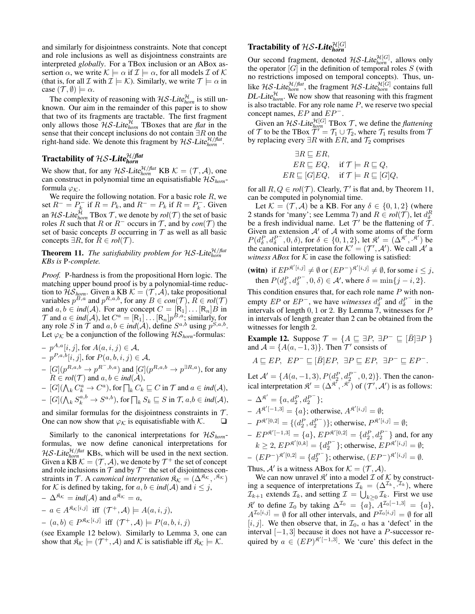and similarly for disjointness constraints. Note that concept and role inclusions as well as disjointness constraints are interpreted *globally*. For a TBox inclusion or an ABox assertion  $\alpha$ , we write  $\mathcal{K} \models \alpha$  if  $\mathcal{I} \models \alpha$ , for all models  $\mathcal{I}$  of  $\mathcal{K}$ (that is, for all  $\mathcal I$  with  $\mathcal I \models \mathcal K$ ). Similarly, we write  $\mathcal T \models \alpha$  in case  $(\mathcal{T}, \emptyset) \models \alpha$ .

The complexity of reasoning with  $H\mathcal{S}\text{-}Lite_{hom}^{\mathcal{H}}$  is still unknown. Our aim in the remainder of this paper is to show that two of its fragments are tractable. The first fragment only allows those  $\mathcal{HS}$ -Lite $_{horn}^{\mathcal{H}}$  TBoxes that are *flat* in the sense that their concept inclusions do not contain  $\exists R$  on the right-hand side. We denote this fragment by  $\mathcal{H}\mathcal{S}\text{-}Lite_{horn}^{\mathcal{H}/flat}$ .

# Tractability of H*S-Lite* $_{horn}^{\mathcal{H}/flat}$

We show that, for any  $\mathcal{H} \mathcal{S}\text{-}Lite_{\text{horn}}^{\mathcal{H}/\text{flat}}$  KB  $\mathcal{K} = (\mathcal{T}, \mathcal{A})$ , one can construct in polynomial time an equisatisfiable HS*horn*formula  $\varphi_K$ .

We require the following notation. For a basic role  $R$ , we set  $R^- = P_k^-$  if  $R = P_k$ , and  $R^- = P_k$  if  $R = P_k^-$ . Given an HS-Lite $_{horn}^{\mathcal{H}}$  TBox  $\mathcal{T}$ , we denote by  $rol(\mathcal{T})$  the set of basic roles R such that R or  $R^-$  occurs in T, and by  $con(T)$  the set of basic concepts  $B$  occurring in  $T$  as well as all basic concepts  $\exists R$ , for  $R \in rel(\mathcal{T})$ .

#### **Theorem 11.** The satisfiability problem for  $\text{HS-Lite}^{\mathcal{H}/\text{flat}}_{\text{hom}}$ *KBs is* P*-complete.*

*Proof.* P-hardness is from the propositional Horn logic. The matching upper bound proof is by a polynomial-time reduction to  $\mathcal{HS}_{\text{horn}}$ . Given a KB  $\mathcal{K} = (\mathcal{T}, \mathcal{A})$ , take propositional variables  $p^{B,a}$  and  $p^{R,a,b}$ , for any  $B \in con(\mathcal{T})$ ,  $R \in rol(\mathcal{T})$ and  $a, b \in ind(\mathcal{A})$ . For any concept  $C = [R_1] \dots [R_n]B$  in  $\mathcal T$  and  $a \in ind(\mathcal A)$ , let  $C^a = [R_1] \dots [R_n] p^{B,a}$ ; similarly, for any role S in  $\mathcal{T}$  and  $a, b \in ind(\mathcal{A})$ , define  $S^{a,b}$  using  $p^{S,a,b}$ . Let  $\varphi_K$  be a conjunction of the following  $\mathcal{HS}_{\text{hom}}$ -formulas:

- $p^{A,a}[i,j]$ , for  $A(a,i,j) \in \mathcal{A}$ ,  $- p^{P,a,b}[i,j]$ , for  $P(a,b,i,j) \in \mathcal{A}$ ,  $-[G](p^{R,a,b} \to p^{R^-,b,a})$  and  $[G](p^{R,a,b} \to p^{\exists R,a})$ , for any  $R \in \text{rol}(\mathcal{T})$  and  $a, b \in \text{ind}(\mathcal{A}),$
- $[G](\bigwedge_k C_k^a \to C^a)$ , for  $\bigcap_k C_k \sqsubseteq C$  in  $\mathcal T$  and  $a \in ind(\mathcal A)$ ,
- $[G](\bigwedge_k S_k^{a,b} \to S^{a,b})$ , for  $\bigcap_k S_k \sqsubseteq S$  in  $\mathcal{T}, a,b \in ind(\mathcal{A})$ ,
- and similar formulas for the disjointness constraints in  $T$ . One can now show that  $\varphi_K$  is equisatisfiable with  $\mathcal K$ .

Similarly to the canonical interpretations for HS*horn*formulas, we now define canonical interpretations for  $\mathcal{H} \mathcal{S}\text{-}Lit$ <sub>*ehorn*</sub> KBs, which will be used in the next section. Given a KB  $\mathcal{K} = (\mathcal{T}, \mathcal{A})$ , we denote by  $\mathcal{T}^+$  the set of concept and role inclusions in  $\mathcal T$  and by  $\mathcal T^-$  the set of disjointness constraints in T. A *canonical interpretation*  $\mathfrak{K}_{\mathcal{K}} = (\Delta^{\mathfrak{K}_{\mathcal{K}}}, \mathfrak{K}_{\mathcal{K}})$ for K is defined by taking, for  $a, b \in ind(A)$  and  $i \leq j$ ,

$$
- \Delta^{\mathfrak{K}_{\mathcal{K}}} = ind(\mathcal{A}) \text{ and } a^{\mathfrak{K}_{\mathcal{K}}} = a,
$$
  

$$
- a \in A^{\mathfrak{K}_{\mathcal{K}}[i,j]} \text{ iff } (\mathcal{T}^+, \mathcal{A}) \models A(a, i, j),
$$

$$
- (a, b) \in P^{\mathfrak{K}_{\mathcal{K}}[i,j]} \text{ iff } (\mathcal{T}^+, \mathcal{A}) \models P(a, b, i, j)
$$

(see Example 12 below). Similarly to Lemma 3, one can show that  $\hat{R}_{\mathcal{K}} \models (\mathcal{T}^+, \mathcal{A})$  and  $\mathcal{K}$  is satisfiable iff  $\mathcal{R}_{\mathcal{K}} \models \mathcal{K}$ .

# **Tractability of**  $\mathcal{H}\mathcal{S}\text{-}$ **Lite** $_{horn}^{\mathcal{H}[G]}$

Our second fragment, denoted  $H\mathcal{S}\text{-}Lite_{\text{horn}}^{\mathcal{H}[G]}$ , allows only the operator  $[G]$  in the definition of temporal roles  $S$  (with no restrictions imposed on temporal concepts). Thus, unlike HS-Lite $_{horn}^{H/flat}$ , the fragment HS-Lite $_{horn}^{H[G]}$  contains full  $DL\text{-}Lite^{\mathcal{H}}_{hom}$ . We now show that reasoning with this fragment is also tractable. For any role name  $P$ , we reserve two special concept names,  $EP$  and  $EP^-$ .

Given an  $\mathcal{H}S$ -Lite $_{horn}^{\mathcal{H}[G]}$  TBox  $\mathcal{T}$ , we define the *flattening* of  $\mathcal T$  to be the TBox  $\overline{\mathcal T}' = \mathcal T_1 \cup \mathcal T_2$ , where  $\mathcal T_1$  results from  $\overline{\mathcal T}$ by replacing every  $\exists R$  with  $ER$ , and  $\mathcal{T}_2$  comprises

$$
\exists R \sqsubseteq ER,ER \sqsubseteq EQ, \quad \text{if } \mathcal{T} \models R \sqsubseteq Q,ER \sqsubseteq [G]EQ, \quad \text{if } \mathcal{T} \models R \sqsubseteq [G]Q,
$$

for all  $R, Q \in rel(\mathcal{T})$ . Clearly,  $\mathcal{T}'$  is flat and, by Theorem 11, can be computed in polynomial time.

Let  $\mathcal{K} = (\mathcal{T}, \mathcal{A})$  be a KB. For any  $\delta \in \{0, 1, 2\}$  (where 2 stands for 'many'; see Lemma 7) and  $R \in \text{rol}(\mathcal{T})$ , let  $d_{\delta}^R$ be a fresh individual name. Let  $\mathcal{T}'$  be the flattening of  $\mathcal{T}$ . Given an extension  $A'$  of  $A$  with some atoms of the form  $P(d_{\delta}^P, d_{\delta}^{P^-}, 0, \delta)$ , for  $\delta \in \{0, 1, 2\}$ , let  $\mathfrak{K}' = (\Delta^{\mathfrak{K}'}, \mathfrak{K}')$  be the canonical interpretation for  $K' = (\mathcal{T}', \mathcal{A}')$ . We call  $\mathcal{A}'$  a *witness ABox* for  $K$  in case the following is satisfied:

$$
\begin{array}{ll}\n\textbf{(with)} & \text{if } EP^{\mathfrak{K}'[i,j]} \neq \emptyset \text{ or } (EP^-)^{\mathfrak{K}'[i,j]} \neq \emptyset \text{, for some } i \leq j, \\
\text{then } P(d_{\delta}^P, d_{\delta}^{P^-}, 0, \delta) \in \mathcal{A}', \text{ where } \delta = \min\{j - i, 2\}.\n\end{array}
$$

This condition ensures that, for each role name  $P$  with nonempty  $EP$  or  $EP^-$ , we have *witnesses*  $d_{\delta}^P$  and  $d_{\delta}^{P^-}$  in the intervals of length  $0, 1$  or 2. By Lemma  $\overline{7}$ , witnesses for P in intervals of length greater than 2 can be obtained from the witnesses for length 2.

**Example 12.** Suppose  $\mathcal{T} = \{ A \sqsubseteq \exists P, \exists P^- \sqsubseteq [\overline{B}] \exists P \}$ and  $\mathcal{A} = \{A(a, -1, 3)\}\$ . Then  $\mathcal{T}'$  consists of

$$
A \sqsubseteq EP, \ EP^-\sqsubseteq [\overline{B}]EP, \ \exists P \sqsubseteq EP, \ \exists P^-\sqsubseteq EP^-.
$$

Let  $\mathcal{A}' = \{A(a, -1, 3), P(d_2^P, d_2^{P^-}, 0, 2)\}\.$  Then the canonical interpretation  $\mathfrak{K}' = (\Delta^{\mathfrak{K}'}, \cdot^{\mathfrak{K}'})$  of  $(\mathcal{T}', \mathcal{A}')$  is as follows:

$$
\begin{aligned}\n& - \Delta^{\mathfrak{K}'} = \{a, d_2^P, d_2^{P^-}\}; \\
& - A^{\mathfrak{K}'[-1,3]} = \{a\}; \text{ otherwise, } A^{\mathfrak{K}'[i,j]} = \emptyset; \\
& - P^{\mathfrak{K}'[0,2]} = \{(d_2^P, d_2^{P^-})\}; \text{ otherwise, } P^{\mathfrak{K}'[i,j]} = \emptyset; \\
& - EP^{\mathfrak{K}'[-1,3]} = \{a\}, EP^{\mathfrak{K}'[0,2]} = \{d_2^P, d_2^{P^-}\} \text{ and, for any } \\
& k > 2 \cdot FP^{\mathfrak{K}'[0,k]} = \{d_2^{P^-} \} \text{ otherwise, } FP^{\mathfrak{K}'[i,j]} = \emptyset.\n\end{aligned}
$$

$$
k \ge 2, EP^{\mathfrak{K}'[0,k]} = \{d_2^{P^-}\}; \text{ otherwise, } EP^{\mathfrak{K}'[i,j]} = \emptyset;
$$
  

$$
E^{\{P^-\} \mathfrak{K}'[0,2]} = \{d_2^{P^-}\} \cdot \text{ otherwise}, \ (EP^{-\mathfrak{K}'[i,j]} = \emptyset).
$$

$$
-(EP^{-})^{\mathfrak{K}'[0,2]} = \{d_2^{P^-}\};\text{ otherwise, } (EP^{-})^{\mathfrak{K}'[i,j]} = \emptyset.
$$

Thus,  $\mathcal{A}'$  is a witness ABox for  $\mathcal{K} = (\mathcal{T}, \mathcal{A})$ .

We can now unravel  $\mathcal{R}'$  into a model  $\mathcal{I}$  of  $\mathcal{K}$  by constructing a sequence of interpretations  $\mathcal{I}_k = (\Delta^{\mathcal{I}_k}, \mathcal{I}_k)$ , where  $\mathcal{I}_{k+1}$  extends  $\mathcal{I}_k$ , and setting  $\mathcal{I} = \bigcup_{k \geq 0} \mathcal{I}_k$ . First we use  $\mathfrak{K}'$  to define  $\mathcal{I}_0$  by taking  $\Delta^{\mathcal{I}_0} = \{a\}, A^{\mathcal{I}_0[-1,3]} = \{a\},$  $A^{\mathcal{I}_0[i,j]} = \emptyset$  for all other intervals, and  $P^{\mathcal{I}_0[i,j]} = \emptyset$  for all  $[i, j]$ . We then observe that, in  $\mathcal{I}_0$ , a has a 'defect' in the interval  $[-1, 3]$  because it does not have a P-successor required by  $a \in (EP)^{\mathfrak{K}'[-1,3]}$ . We 'cure' this defect in the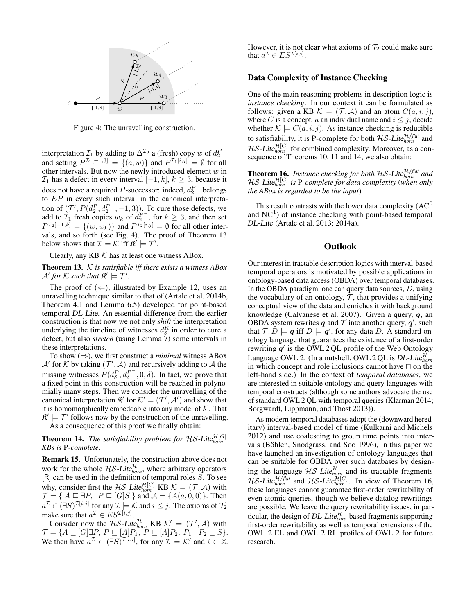

Figure 4: The unravelling construction.

interpretation  $\mathcal{I}_1$  by adding to  $\Delta^{\mathcal{I}_0}$  a (fresh) copy w of  $d_2^{P^-}$ <br>and setting  $P^{\mathcal{I}_1[-1,3]} = \{(a, w)\}\$  and  $P^{\mathcal{I}_1[i,j]} = \emptyset$  for all other intervals. But now the newly introduced element  $w$  in  $\mathcal{I}_1$  has a defect in every interval  $[-1, k]$ ,  $k \geq 3$ , because it does not have a required P-successor: indeed,  $d_2^{P^-}$  belongs to EP in every such interval in the canonical interpretation of  $(\mathcal{T}', P(d_2^P, d_2^{P^-}, -1, 3))$ . To cure those defects, we add to  $\mathcal{I}_1$  fresh copies  $w_k$  of  $d_2^{P^-}$ , for  $k \geq 3$ , and then set  $P^{\mathcal{I}_2[-1,k]} = \{(w,w_k)\}\$  and  $P^{\mathcal{I}_2[i,j]} = \emptyset$  for all other intervals, and so forth (see Fig. 4). The proof of Theorem 13 below shows that  $\mathcal{I} \models \mathcal{K}$  iff  $\mathcal{R}' \models \mathcal{T}'$ .

Clearly, any KB  $K$  has at least one witness ABox.

Theorem 13. K *is satisfiable iff there exists a witness ABox*  $\mathcal{A}'$  for  $\mathcal{K}$  such that  $\mathfrak{K}' \models \mathcal{T}'$ .

The proof of  $(\Leftarrow)$ , illustrated by Example 12, uses an unravelling technique similar to that of (Artale et al. 2014b, Theorem 4.1 and Lemma 6.5) developed for point-based temporal DL-Lite. An essential difference from the earlier construction is that now we not only *shift* the interpretation underlying the timeline of witnesses  $d_{\delta}^{R}$  in order to cure a defect, but also *stretch* (using Lemma 7) some intervals in these interpretations.

To show (⇒), we first construct a *minimal* witness ABox  $\mathcal{A}'$  for  $\mathcal{K}$  by taking  $(\mathcal{T}', \mathcal{A})$  and recursively adding to  $\mathcal{A}$  the missing witnesses  $P(d_{\delta}^P, d_{\delta}^{P^-}, 0, \delta)$ . In fact, we prove that a fixed point in this construction will be reached in polynomially many steps. Then we consider the unravelling of the canonical interpretation  $\mathfrak{K}'$  for  $\mathcal{K}' = (\mathcal{T}', \mathcal{A}')$  and show that it is homomorphically embeddable into any model of  $K$ . That  $\mathcal{R}' \models \mathcal{T}'$  follows now by the construction of the unravelling.

As a consequence of this proof we finally obtain:

**Theorem 14.** The satisfiability problem for  $HS$ -Lite $_{horn}^{H[G]}$ *KBs is* P*-complete.*

Remark 15. Unfortunately, the construction above does not work for the whole  $H\mathcal{S}\text{-}Lit$ <sub>chorn</sub>, where arbitrary operators  $[R]$  can be used in the definition of temporal roles  $S$ . To see why, consider first the HS-Lite $_{hom}^{\mathcal{H}[G]}$  KB  $\mathcal{K} = (\mathcal{T}, \mathcal{A})$  with  $\mathcal{T} = \{ A \sqsubseteq \exists P, P \sqsubseteq [G]S \}$  and  $\mathcal{A} = \{A(a, 0, 0)\}.$  Then  $a^{\mathcal{I}} \in (\exists S)^{\mathcal{I}[i,j]}$  for any  $\mathcal{I} \models \mathcal{K}$  and  $i \leq j$ . The axioms of  $\mathcal{T}_2$ make sure that  $a^{\mathcal{I}} \in ES^{\mathcal{I}[i,j]}$ .

Consider now the HS-Lite $_{\text{hom}}^{\mathcal{H}}$  KB  $\underline{\mathcal{K}}' = (\mathcal{T}', \mathcal{A})$  with  $\mathcal{T} = \{A \sqsubseteq [G] \exists P, P \sqsubseteq [A]P_1, P \sqsubseteq [\overline{A}]P_2, P_1 \sqcap P_2 \sqsubseteq S\}.$ We then have  $a^{\mathcal{I}} \in (\exists S)^{\mathcal{I}[i,i]}$ , for any  $\mathcal{I} \models \mathcal{K}'$  and  $i \in \mathbb{Z}$ . However, it is not clear what axioms of  $\mathcal{T}_2$  could make sure that  $a^{\mathcal{I}} \in ES^{\mathcal{I}[i,i]}.$ 

#### Data Complexity of Instance Checking

One of the main reasoning problems in description logic is *instance checking*. In our context it can be formulated as follows: given a KB  $\mathcal{K} = (\mathcal{T}, \mathcal{A})$  and an atom  $C(a, i, j)$ , where C is a concept, a an individual name and  $i \leq j$ , decide whether  $\mathcal{K} \models C(a, i, j)$ . As instance checking is reducible to satisfiability, it is P-complete for both  $\mathcal{H}S$ -Lite $_{horn}^{\mathcal{H}/flat}$  and  $\mathcal{H} \mathcal{S}\text{-}$ Lite $_{horn}^{\mathcal{H}[G]}$  for combined complexity. Moreover, as a consequence of Theorems 10, 11 and 14, we also obtain:

**Theorem 16.** Instance checking for both HS-Lite $_{\text{horn}}^{\mathcal{H}/\text{flat}}$  and HS-Lite<sup>H</sup>[G] *horn is* P*-complete for data complexity* (*when only the ABox is regarded to be the input*)*.*

This result contrasts with the lower data complexity  $(AC^0)$ and  $NC<sup>1</sup>$ ) of instance checking with point-based temporal DL-Lite (Artale et al. 2013; 2014a).

#### **Outlook**

Our interest in tractable description logics with interval-based temporal operators is motivated by possible applications in ontology-based data access (OBDA) over temporal databases. In the OBDA paradigm, one can query data sources, D, using the vocabulary of an ontology,  $\mathcal{T}$ , that provides a unifying conceptual view of the data and enriches it with background knowledge (Calvanese et al. 2007). Given a query, q, an OBDA system rewrites q and  $\mathcal T$  into another query,  $q'$ , such that  $\mathcal{T}, \dot{D} \models q$  iff  $D \models q'$ , for any data D. A standard ontology language that guarantees the existence of a first-order rewriting  $q'$  is the OWL 2 QL profile of the Web Ontology Language OWL 2. (In a nutshell, OWL 2 QL is *DL-Lite<sup>* $\mathcal{H}_{horn}$  in which concept and role inclusions cannot have  $\Box$  on the</sup> left-hand side.) In the context of *temporal databases*, we are interested in suitable ontology and query languages with temporal constructs (although some authors advocate the use of standard OWL 2 QL with temporal queries (Klarman 2014; Borgwardt, Lippmann, and Thost 2013)).

As modern temporal databases adopt the (downward hereditary) interval-based model of time (Kulkarni and Michels 2012) and use coalescing to group time points into intervals (Böhlen, Snodgrass, and Soo 1996), in this paper we have launched an investigation of ontology languages that can be suitable for OBDA over such databases by designing the language  $H\mathcal{S}\text{-}Lite_{horn}^{\mathcal{H}}$  and its tractable fragments *HS*-Lite $_{hom}^{H/fat}$  and *HS*-Lite $_{hom}^{H[G]}$ . In view of Theorem 16, these languages cannot guarantee first-order rewritability of even atomic queries, though we believe datalog rewritings are possible. We leave the query rewritability issues, in particular, the design of *DL-Lite* $_{core}^{\mathcal{H}}$ -based fragments supporting first-order rewritability as well as temporal extensions of the OWL 2 EL and OWL 2 RL profiles of OWL 2 for future research.